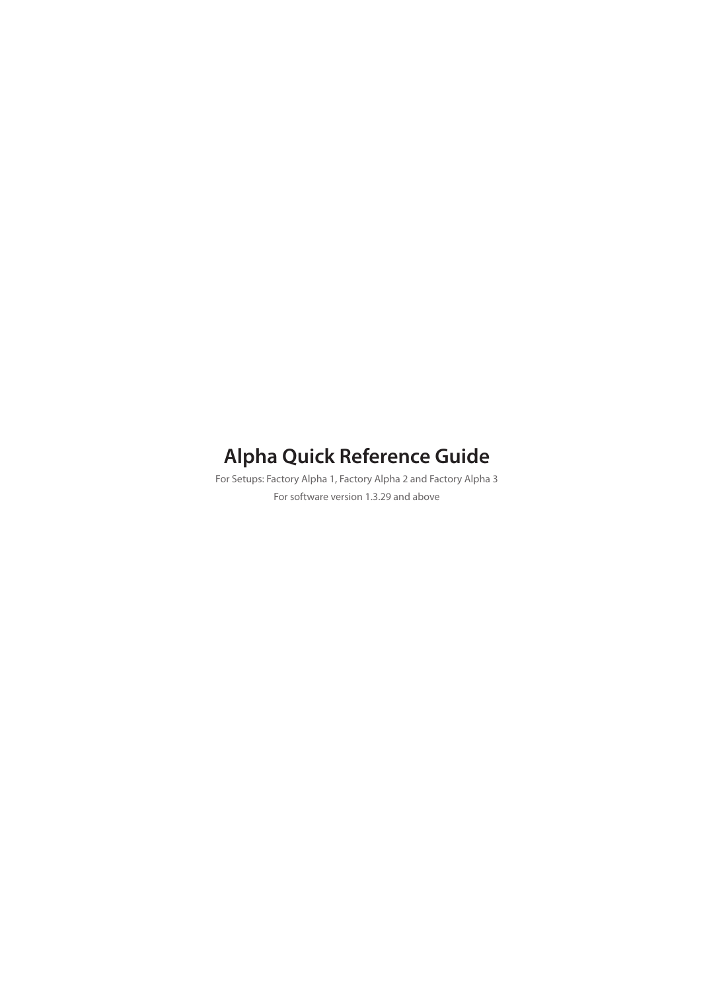# **Alpha Quick Reference Guide**

For Setups: Factory Alpha 1, Factory Alpha 2 and Factory Alpha 3 For software version 1.3.29 and above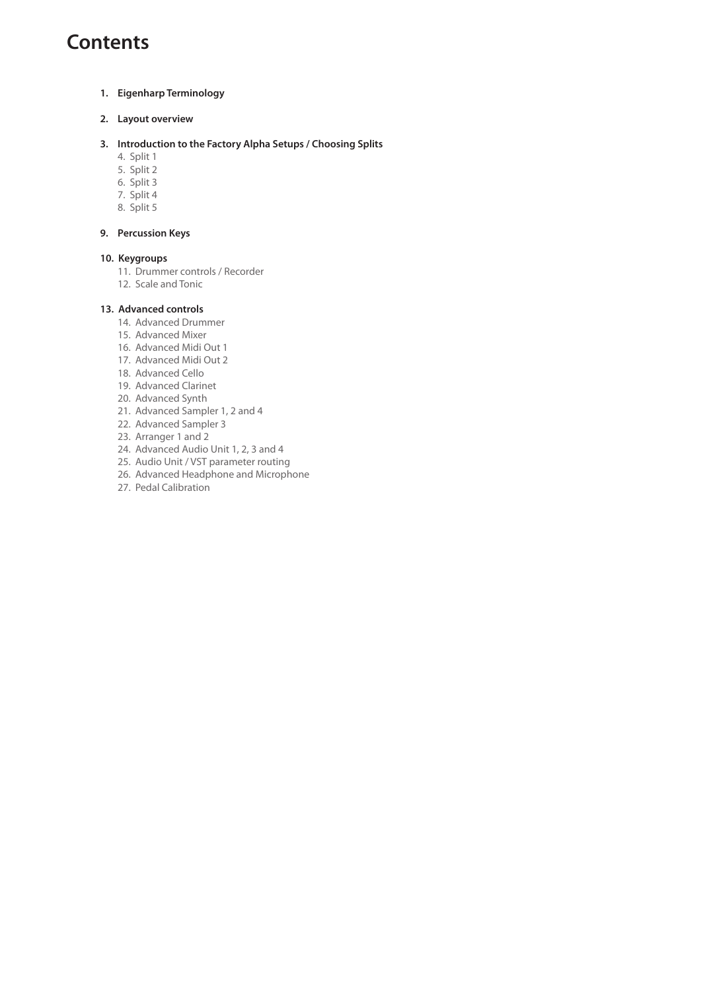### **Contents**

- **1. Eigenharp Terminology**
- **2. Layout overview**
- **3. Introduction to the Factory Alpha Setups / Choosing Splits**
	- 4. Split 1
	- 5. Split 2
	- 6. Split 3 7. Split 4
	- 8. Split 5

#### **9. Percussion Keys**

#### **10. Keygroups**

- 11. Drummer controls / Recorder
- 12. Scale and Tonic

#### **13. Advanced controls**

- 14. Advanced Drummer
- 15. Advanced Mixer
- 16. Advanced Midi Out 1
- 17. Advanced Midi Out 2
- 18. Advanced Cello
- 19. Advanced Clarinet
- 20. Advanced Synth
- 21. Advanced Sampler 1, 2 and 4 22. Advanced Sampler 3
- 23. Arranger 1 and 2
- 24. Advanced Audio Unit 1, 2, 3 and 4
- 25. Audio Unit / VST parameter routing
- 26. Advanced Headphone and Microphone
- 27. Pedal Calibration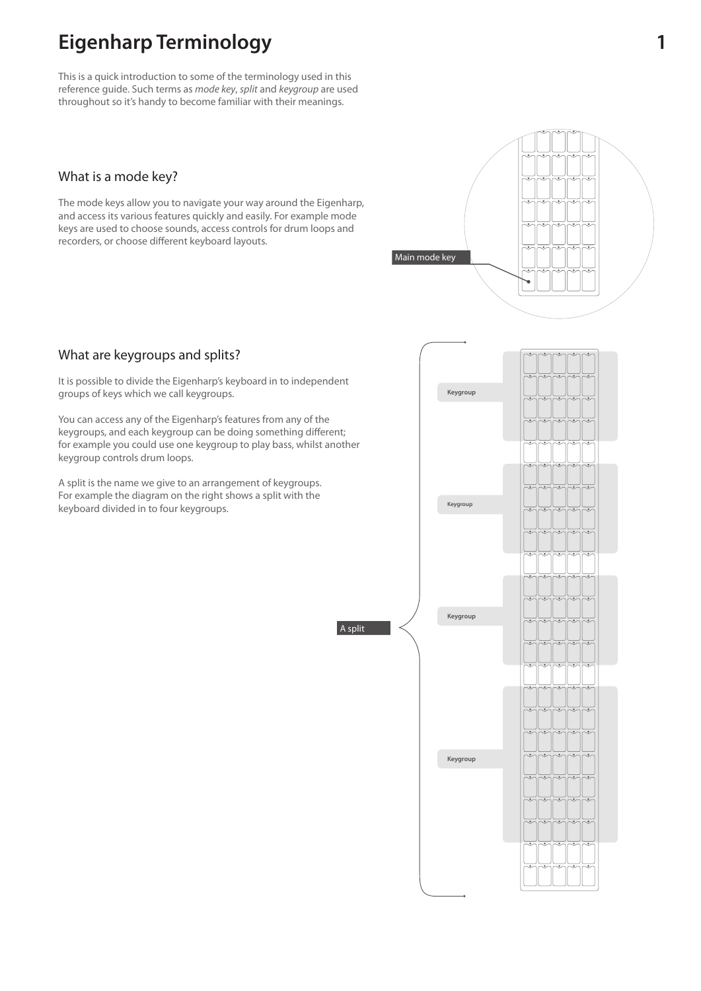### **Eigenharp Terminology 1**

This is a quick introduction to some of the terminology used in this reference guide. Such terms as mode key, split and keygroup are used throughout so it's handy to become familiar with their meanings.

### What is a mode key?

The mode keys allow you to navigate your way around the Eigenharp, and access its various features quickly and easily. For example mode keys are used to choose sounds, access controls for drum loops and recorders, or choose different keyboard layouts.

### What are keygroups and splits?

It is possible to divide the Eigenharp's keyboard in to independent groups of keys which we call keygroups.

You can access any of the Eigenharp's features from any of the keygroups, and each keygroup can be doing something different; for example you could use one keygroup to play bass, whilst another keygroup controls drum loops.

A split is the name we give to an arrangement of keygroups. For example the diagram on the right shows a split with the keyboard divided in to four keygroups.

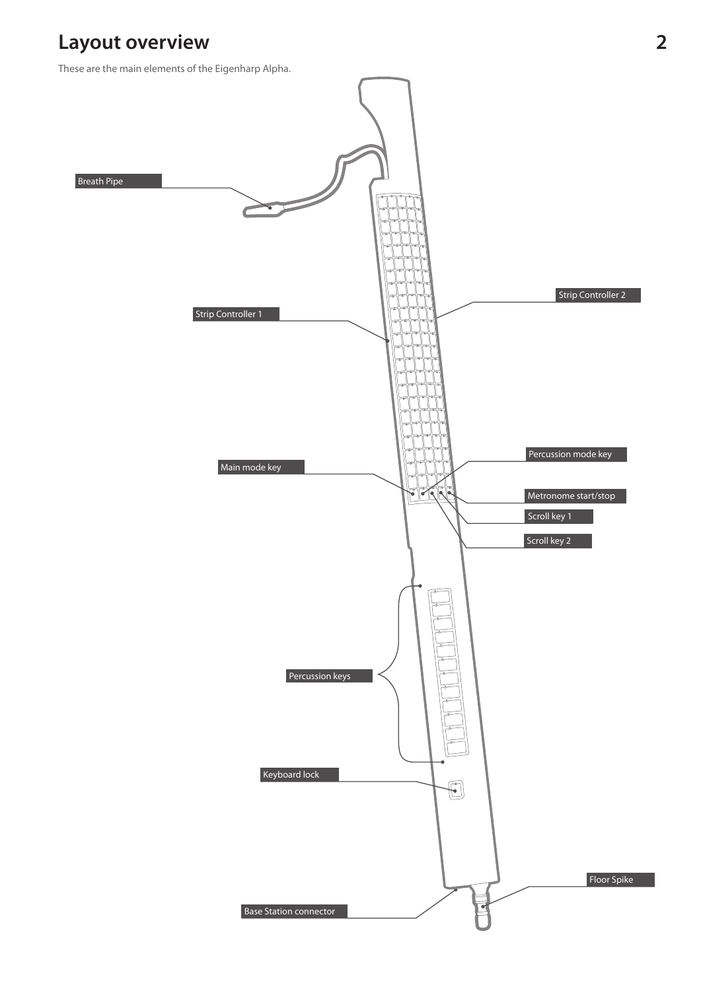### **Layout overview**

These are the main elements of the Eigenharp Alpha.

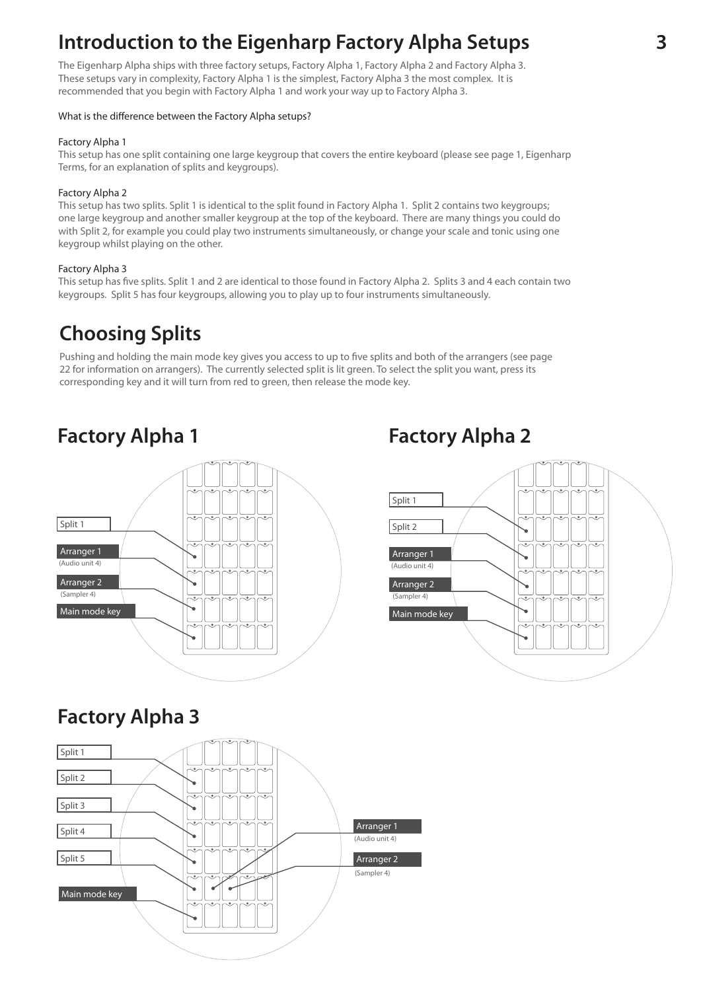### **Introduction to the Eigenharp Factory Alpha Setups**

The Eigenharp Alpha ships with three factory setups, Factory Alpha 1, Factory Alpha 2 and Factory Alpha 3. These setups vary in complexity, Factory Alpha 1 is the simplest, Factory Alpha 3 the most complex. It is recommended that you begin with Factory Alpha 1 and work your way up to Factory Alpha 3.

#### What is the difference between the Factory Alpha setups?

#### Factory Alpha 1

This setup has one split containing one large keygroup that covers the entire keyboard (please see page 1, Eigenharp Terms, for an explanation of splits and keygroups).

#### Factory Alpha 2

This setup has two splits. Split 1 is identical to the split found in Factory Alpha 1. Split 2 contains two keygroups; one large keygroup and another smaller keygroup at the top of the keyboard. There are many things you could do with Split 2, for example you could play two instruments simultaneously, or change your scale and tonic using one keygroup whilst playing on the other.

#### Factory Alpha 3

This setup has five splits. Split 1 and 2 are identical to those found in Factory Alpha 2. Splits 3 and 4 each contain two keygroups. Split 5 has four keygroups, allowing you to play up to four instruments simultaneously.

### **Choosing Splits**

Pushing and holding the main mode key gives you access to up to five splits and both of the arrangers (see page 22 for information on arrangers). The currently selected split is lit green. To select the split you want, press its corresponding key and it will turn from red to green, then release the mode key.



### **Factory Alpha 1 Factory Alpha 2**



### **Factory Alpha 3**

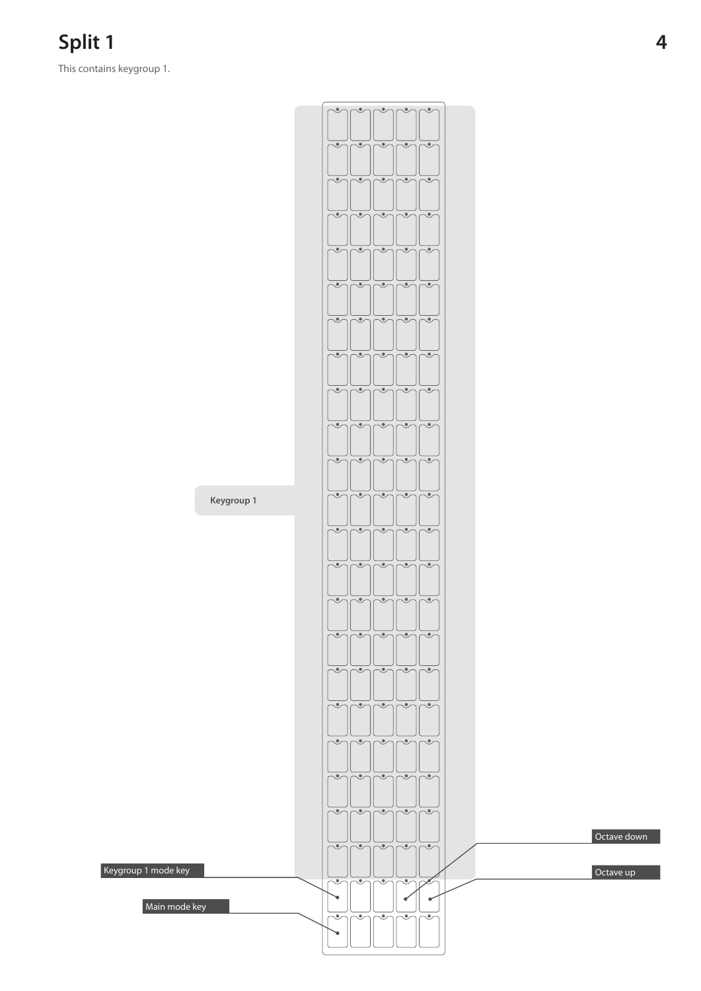This contains keygroup 1.

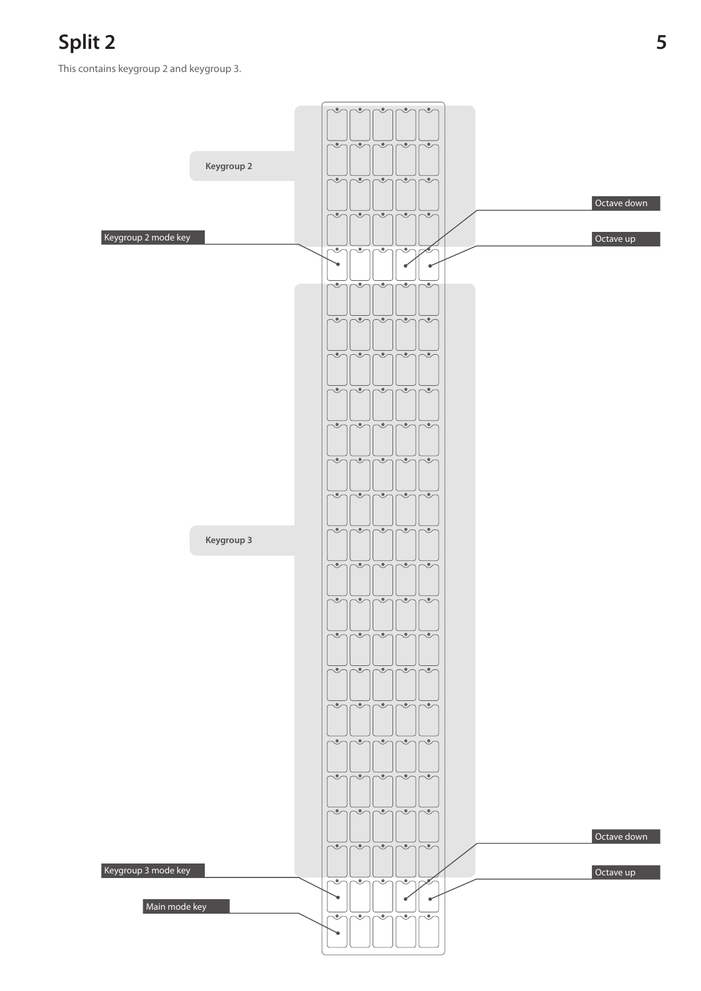### **Split 2 5**

This contains keygroup 2 and keygroup 3.

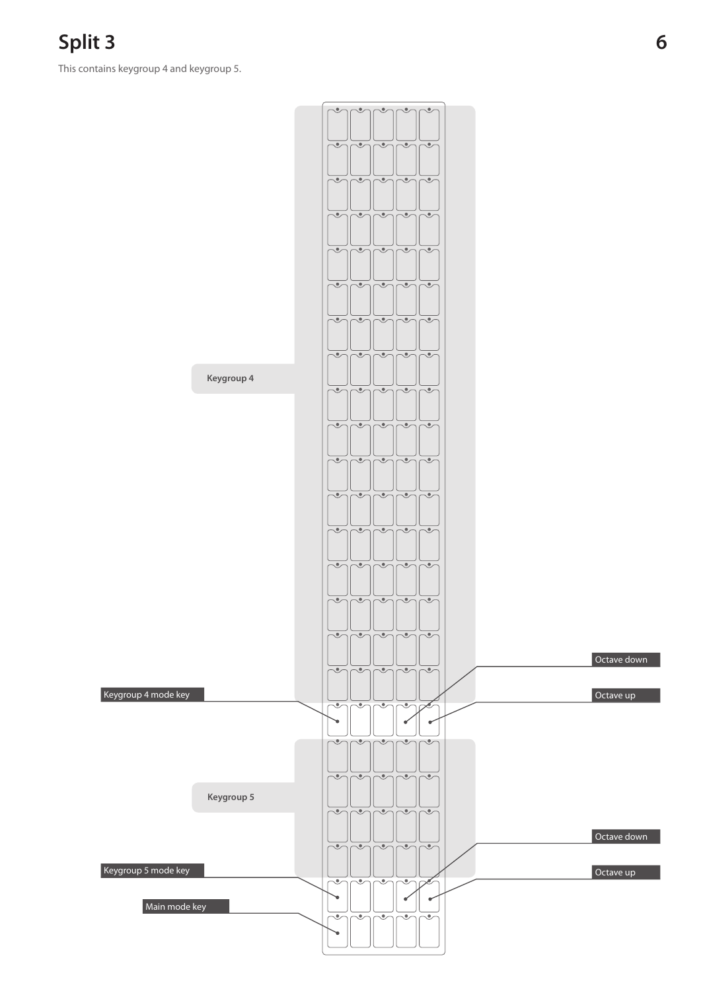**Split 3 6**

This contains keygroup 4 and keygroup 5.

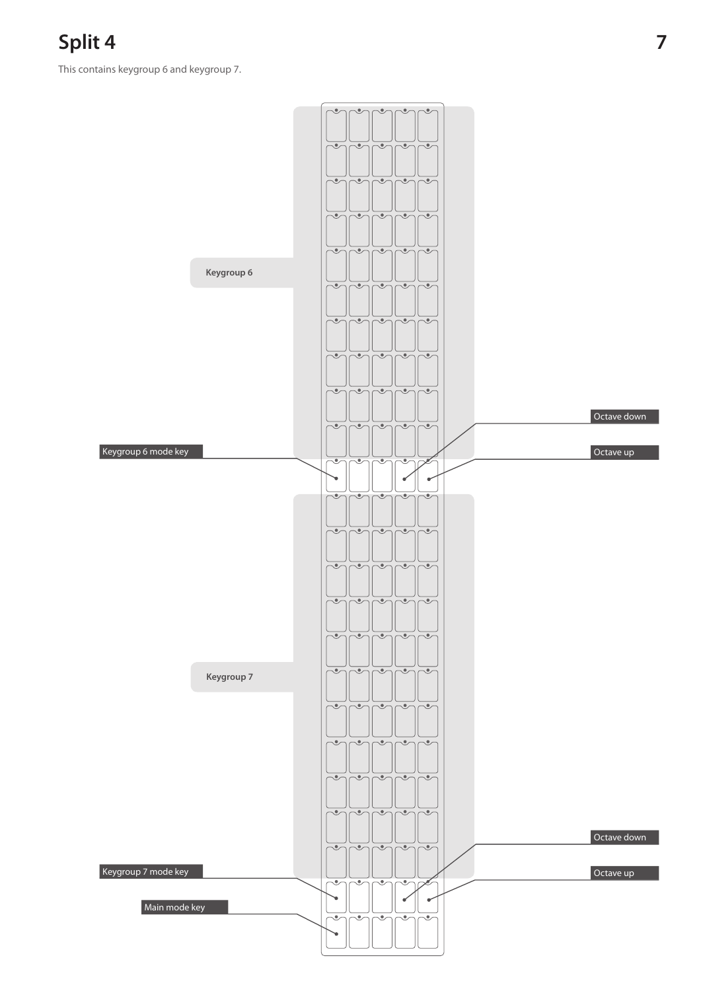**Split 4 7**

This contains keygroup 6 and keygroup 7.

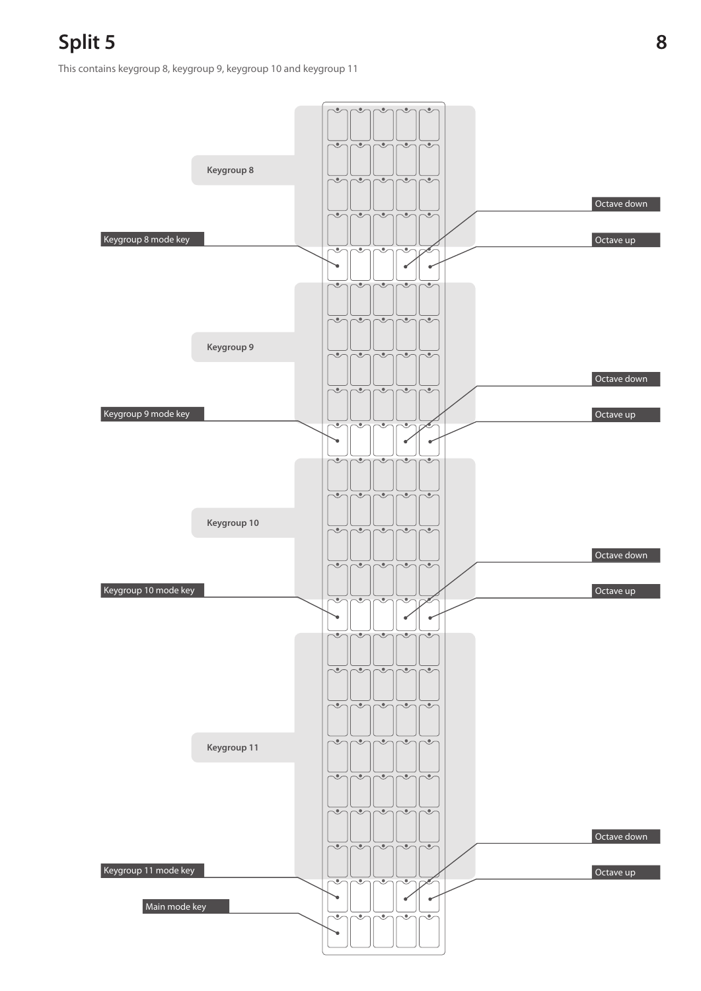This contains keygroup 8, keygroup 9, keygroup 10 and keygroup 11

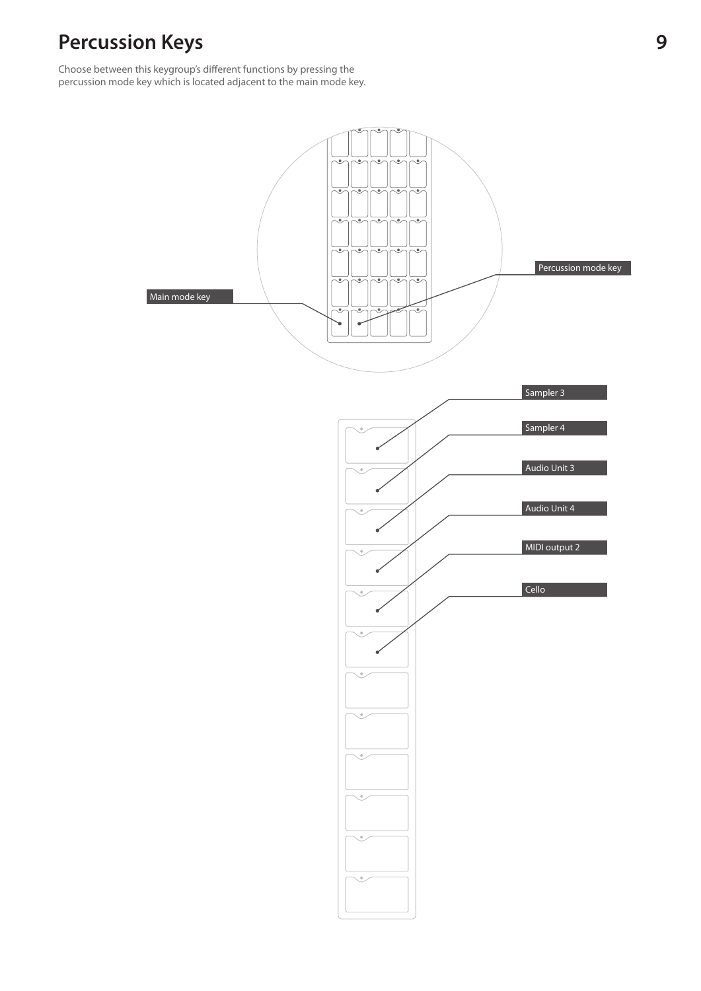### **Percussion Keys 9**

Choose between this keygroup's different functions by pressing the percussion mode key which is located adjacent to the main mode key.

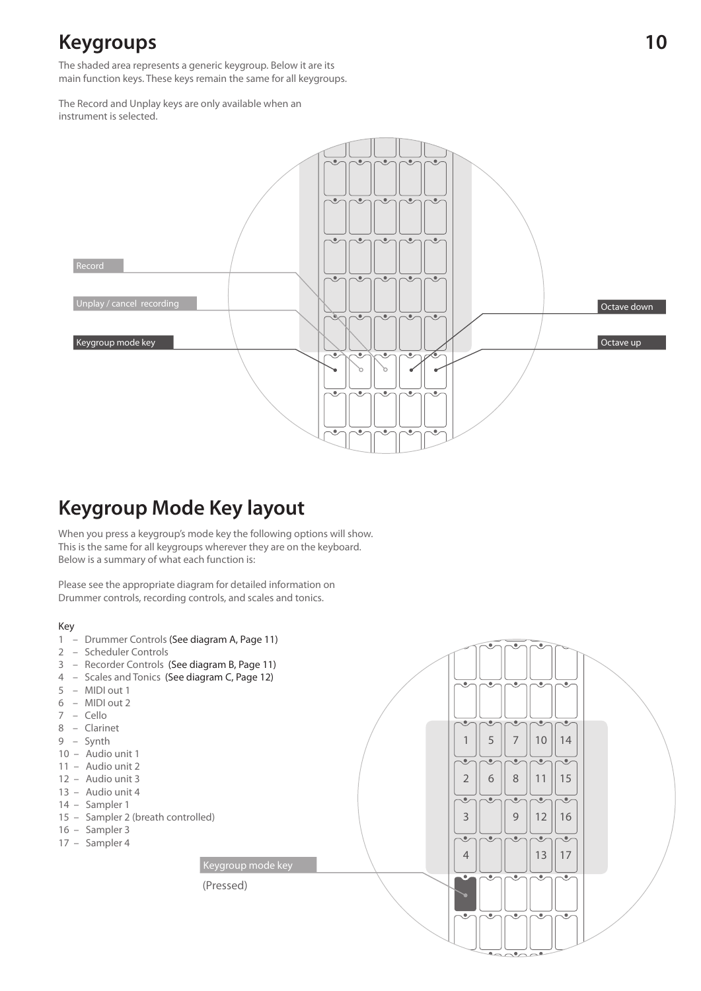### **Keygroups**

The shaded area represents a generic keygroup. Below it are its main function keys. These keys remain the same for all keygroups.

The Record and Unplay keys are only available when an instrument is selected.



### **Keygroup Mode Key layout**

When you press a keygroup's mode key the following options will show. This is the same for all keygroups wherever they are on the keyboard. Below is a summary of what each function is:

(Pressed)

Keygroup mode key

Please see the appropriate diagram for detailed information on Drummer controls, recording controls, and scales and tonics.

- 1 Drummer Controls (See diagram A, Page 11)
- 2 Scheduler Controls
- 3 Recorder Controls (See diagram B, Page 11)
- 4 Scales and Tonics (See diagram C, Page 12)
- 5 MIDI out 1
- 6 MIDI out 2
- 7 Cello
- 8 Clarinet
- 9 Synth
- 10 Audio unit 1
- 11 Audio unit 2
- 12 Audio unit 3
- 13 Audio unit 4
- 14 Sampler 1
- 15 Sampler 2 (breath controlled)
- 16 Sampler 3
- 17 Sampler 4

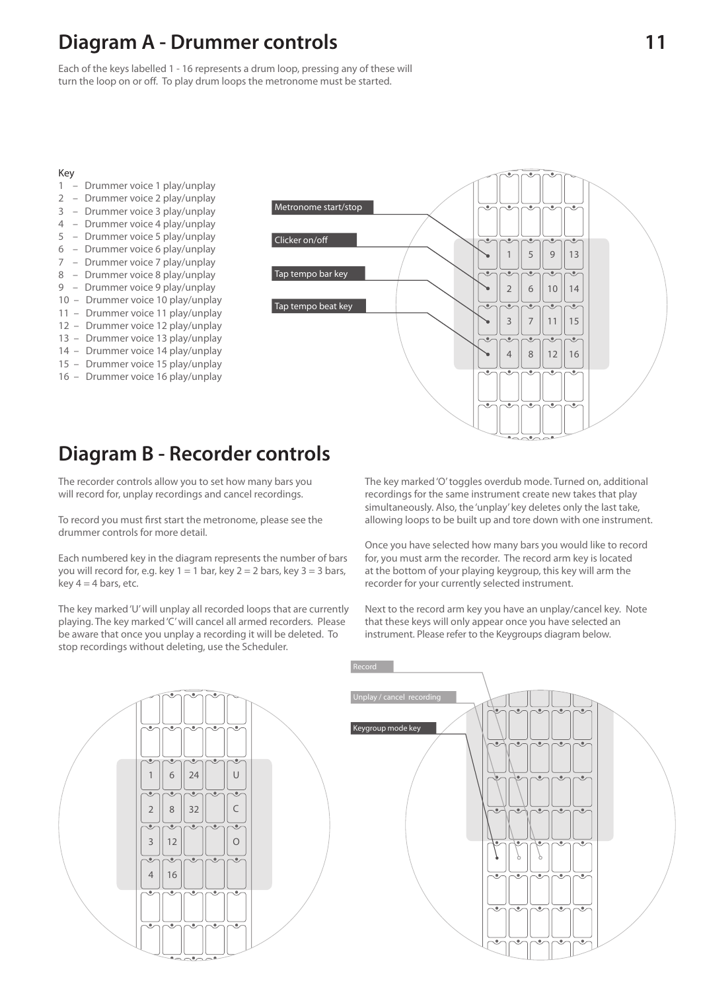### **Diagram A - Drummer controls**

Each of the keys labelled 1 - 16 represents a drum loop, pressing any of these will turn the loop on or off. To play drum loops the metronome must be started.

#### Key

- 1 Drummer voice 1 play/unplay
- 2 Drummer voice 2 play/unplay
- 3 Drummer voice 3 play/unplay
- 4 Drummer voice 4 play/unplay
- 5 Drummer voice 5 play/unplay
- 6 Drummer voice 6 play/unplay
- 7 Drummer voice 7 play/unplay
- 8 Drummer voice 8 play/unplay
- 9 Drummer voice 9 play/unplay
- 10 Drummer voice 10 play/unplay
- 11 Drummer voice 11 play/unplay
- 12 Drummer voice 12 play/unplay
- 13 Drummer voice 13 play/unplay
- 14 Drummer voice 14 play/unplay
- 15 Drummer voice 15 play/unplay
- 16 Drummer voice 16 play/unplay



### **Diagram B - Recorder controls**

The recorder controls allow you to set how many bars you will record for, unplay recordings and cancel recordings.

To record you must first start the metronome, please see the drummer controls for more detail.

Each numbered key in the diagram represents the number of bars you will record for, e.g. key  $1 = 1$  bar, key  $2 = 2$  bars, key  $3 = 3$  bars, key  $4 = 4$  bars, etc.

The key marked 'U' will unplay all recorded loops that are currently playing. The key marked 'C' will cancel all armed recorders. Please be aware that once you unplay a recording it will be deleted. To stop recordings without deleting, use the Scheduler.

The key marked 'O' toggles overdub mode. Turned on, additional recordings for the same instrument create new takes that play simultaneously. Also, the 'unplay' key deletes only the last take, allowing loops to be built up and tore down with one instrument.

Once you have selected how many bars you would like to record for, you must arm the recorder. The record arm key is located at the bottom of your playing keygroup, this key will arm the recorder for your currently selected instrument.

Next to the record arm key you have an unplay/cancel key. Note that these keys will only appear once you have selected an instrument. Please refer to the Keygroups diagram below.

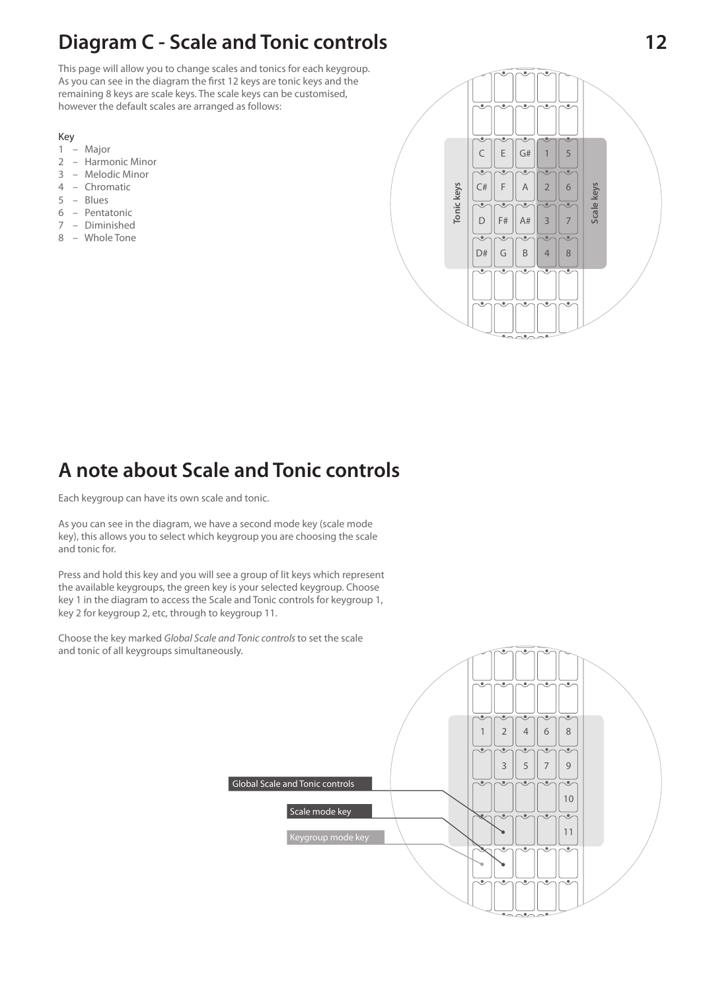# **Diagram C - Scale and Tonic controls 12**

This page will allow you to change scales and tonics for each keygroup. As you can see in the diagram the first 12 keys are tonic keys and the remaining 8 keys are scale keys. The scale keys can be customised, however the default scales are arranged as follows:

#### Key

- 1 Major
- 2 Harmonic Minor
- 3 Melodic Minor
- 4 Chromatic
- 5 Blues
- 6 Pentatonic
- 7 Diminished
- 8 Whole Tone



### **A note about Scale and Tonic controls**

Each keygroup can have its own scale and tonic.

As you can see in the diagram, we have a second mode key (scale mode key), this allows you to select which keygroup you are choosing the scale and tonic for.

Press and hold this key and you will see a group of lit keys which represent the available keygroups, the green key is your selected keygroup. Choose key 1 in the diagram to access the Scale and Tonic controls for keygroup 1, key 2 for keygroup 2, etc, through to keygroup 11.

Choose the key marked Global Scale and Tonic controls to set the scale and tonic of all keygroups simultaneously.

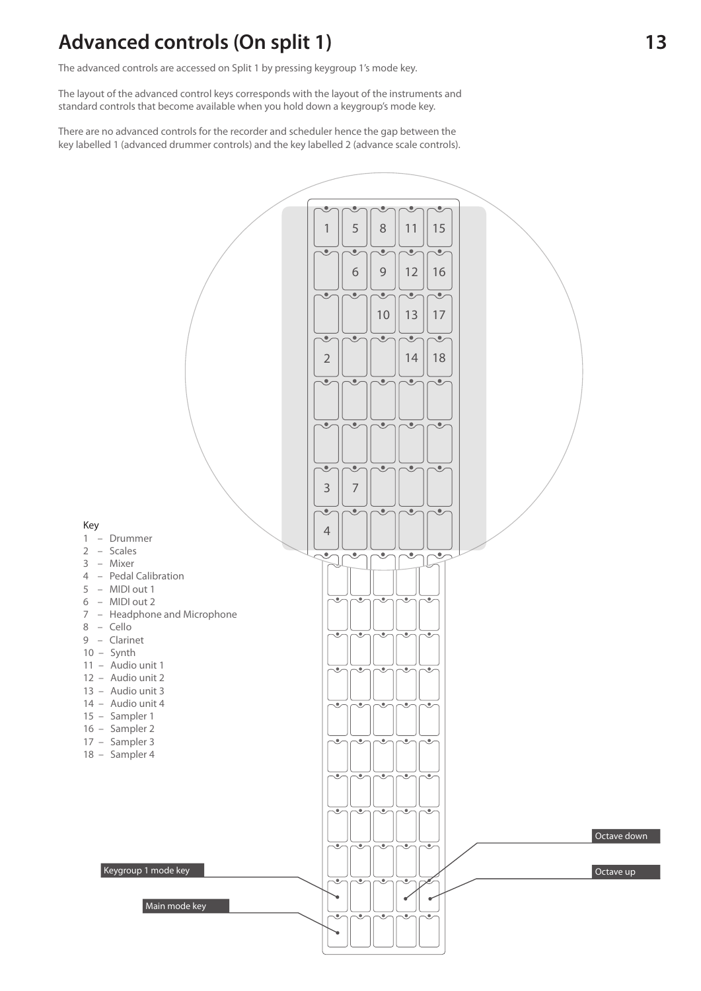### **Advanced controls (On split 1)**

The advanced controls are accessed on Split 1 by pressing keygroup 1's mode key.

The layout of the advanced control keys corresponds with the layout of the instruments and standard controls that become available when you hold down a keygroup's mode key.

There are no advanced controls for the recorder and scheduler hence the gap between the key labelled 1 (advanced drummer controls) and the key labelled 2 (advance scale controls).

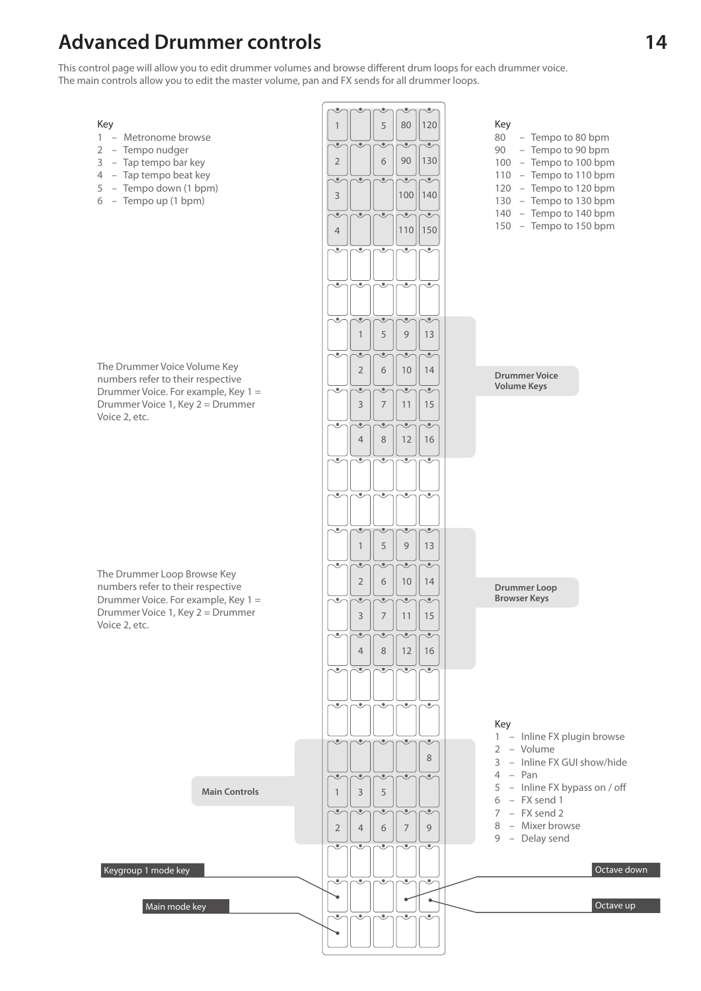### **Advanced Drummer controls**

This control page will allow you to edit drummer volumes and browse different drum loops for each drummer voice. The main controls allow you to edit the master volume, pan and FX sends for all drummer loops.

#### Key

- 1 Metronome browse
- 2 Tempo nudger
- 3 Tap tempo bar key
- 4 Tap tempo beat key
- 5 Tempo down (1 bpm)
- 6 Tempo up (1 bpm)

The Drummer Voice Volume Key numbers refer to their respective Drummer Voice. For example, Key 1 = Drummer Voice 1, Key 2 = Drummer Voice 2, etc.

The Drummer Loop Browse Key numbers refer to their respective Drummer Voice. For example, Key 1 = Drummer Voice 1, Key 2 = Drummer Voice 2, etc.

Keygroup 1 mode key

**Main Controls**

 $\check{C}$ Key 5 80 120 1 80 – Tempo to 80 bpm  $\overline{\bullet}$  $\overline{\bullet}$  $\overline{\bullet}$ 90 – Tempo to 90 bpm  $90$  || 130 2 6 100 – Tempo to 100 bpm 110 – Tempo to 110 bpm  $\overline{\bullet}$  $\overline{\bullet}$  $\overline{\mathcal{M}}$ 120 – Tempo to 120 bpm 100 140 3 130 – Tempo to 130 bpm 140 – Tempo to 140 bpm ₹  $\overline{\cdot}$  $\overline{\bullet}$ 150 – Tempo to 150 bpm 110 150 4  $\overline{\bullet}$ Ö, 1 5 9 13 Ó,  $\bullet$ 2 6 10 14 **Drummer Voice Volume Keys** ۹ 3 7 11 15  $\overline{\bullet}$  $\overline{\bullet}$  $\overline{\bullet}$ 4 8 12 16  $\overline{\bullet}$ 1 5 9 13  $\overline{\phantom{0}}$  $\mathcal{C}$ 2 10 14 6 **Drummer Loop Browser Keys**  $\overline{\bullet}$ 3 7 11 15  $\overline{\bullet}$  $\overline{\bullet}$  $\overline{\bullet}$  $\bullet$ 4 8 12 16 Key 1 – Inline FX plugin browse  $\langle \bullet \rangle$  $\langle \bullet \rangle$  $\langle \bullet \rangle$  $\sqrt{\theta}$  $\bullet$ 2 – Volume 8 3 – Inline FX GUI show/hide 4 – Pan 5 – Inline FX bypass on / off 3 51 6 – FX send 1 7 – FX send 2  $\overline{\bullet}$  $\overline{\bullet}$ o 8 – Mixer browse 2 7 9 4 6 9 – Delay send ζÜ,  $\overline{\bullet}$ Ó, Ö,  $\overline{\bullet}$ Octave down Main mode key and the set of the set of the set of the set of the set of the set of the set of the set of the set of the set of the set of the set of the set of the set of the set of the set of the set of the set of the se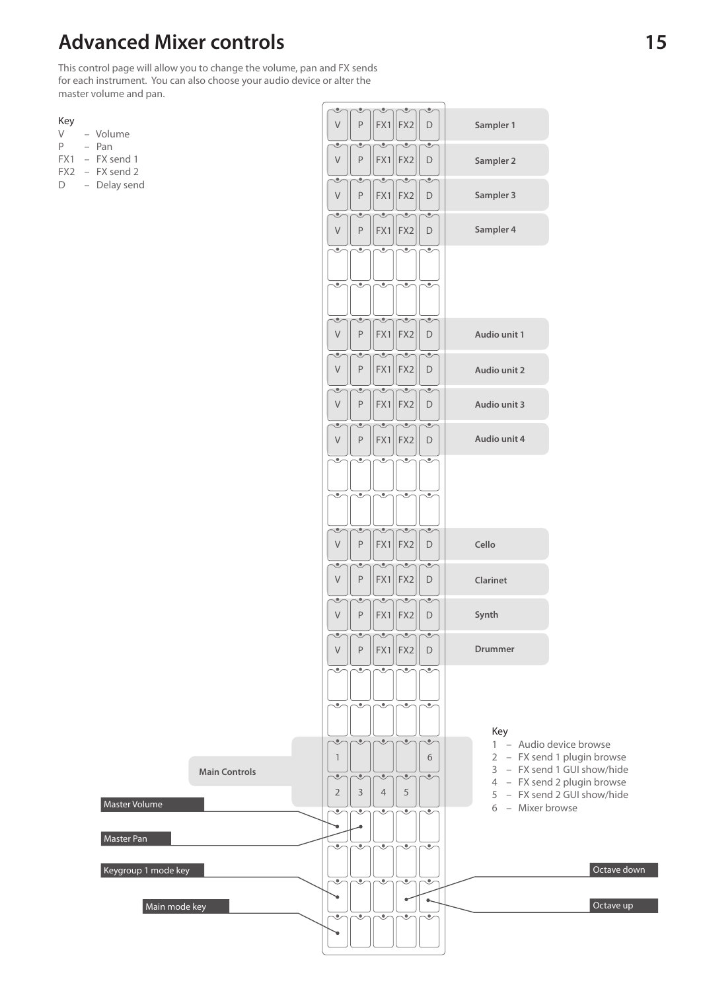# **Advanced Mixer controls**

This control page will allow you to change the volume, pan and FX sends for each instrument. You can also choose your audio device or alter the master volume and pan.

**Main Controls**

Master Volume

Keygroup 1 mode key

Master Pan

Main mode key

| ×<br>$\sim$ |  |
|-------------|--|
|             |  |

- V Volume
- P Pan
- FX1 FX send 1
- FX2 FX send 2
- D Delay send

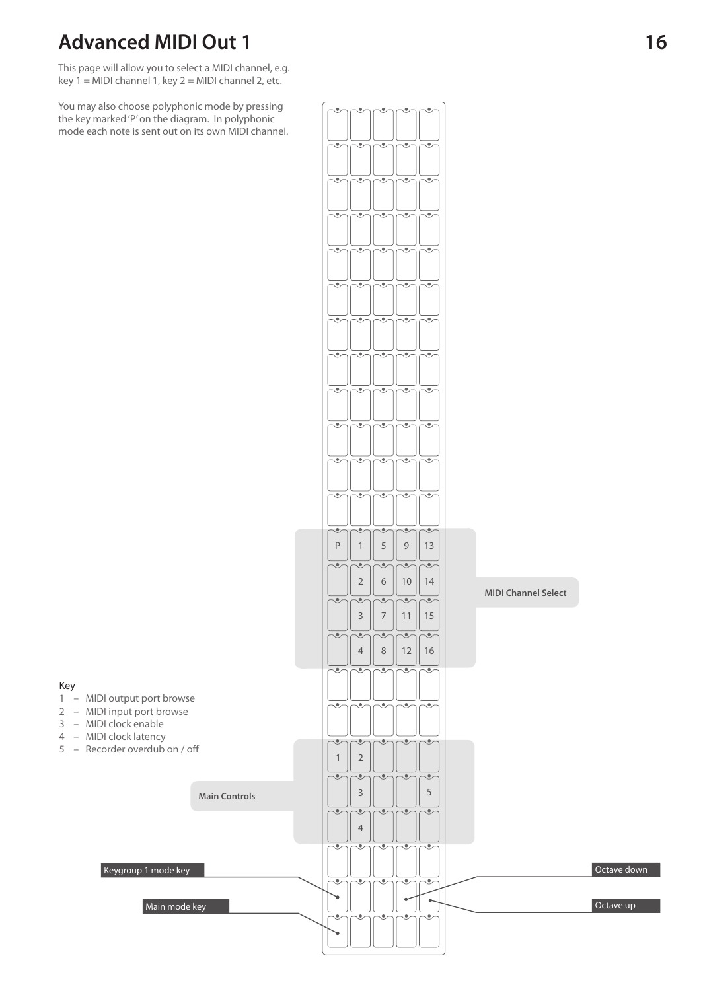# **Advanced MIDI Out 1**

This page will allow you to select a MIDI channel, e.g. key  $1 = MIDI$  channel 1, key  $2 = MIDI$  channel 2, etc.

You may also choose polyphonic mode by pressing the key marked 'P' on the diagram. In polyphonic mode each note is sent out on its own MIDI channel.

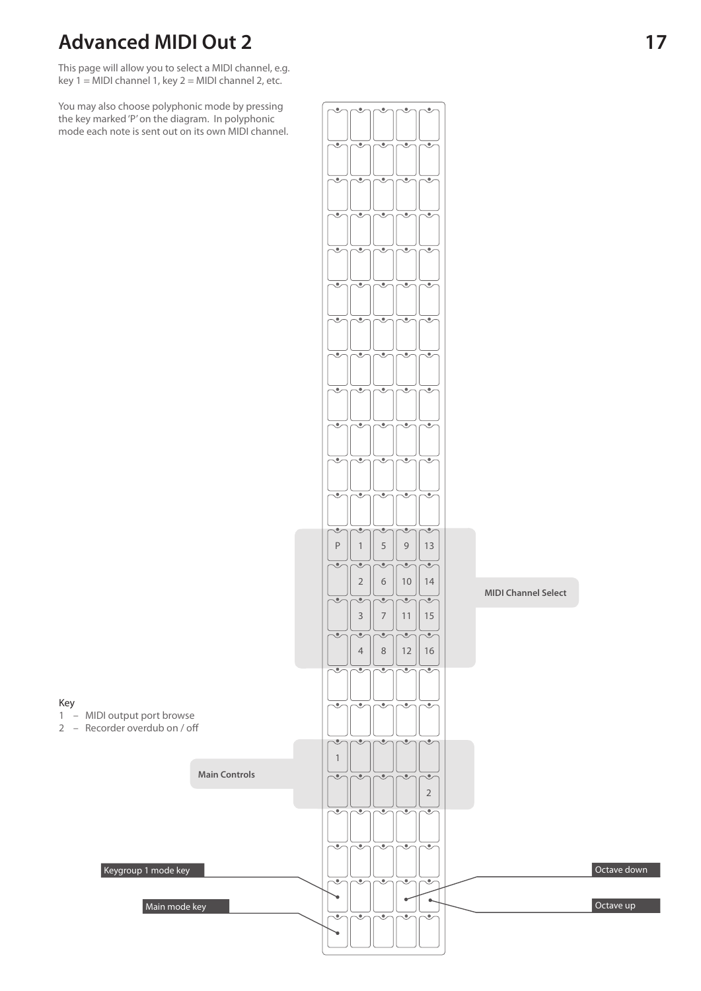# **Advanced MIDI Out 2**

Key

This page will allow you to select a MIDI channel, e.g. key  $1 = MIDI$  channel 1, key  $2 = MIDI$  channel 2, etc.

You may also choose polyphonic mode by pressing the key marked 'P' on the diagram. In polyphonic mode each note is sent out on its own MIDI channel.

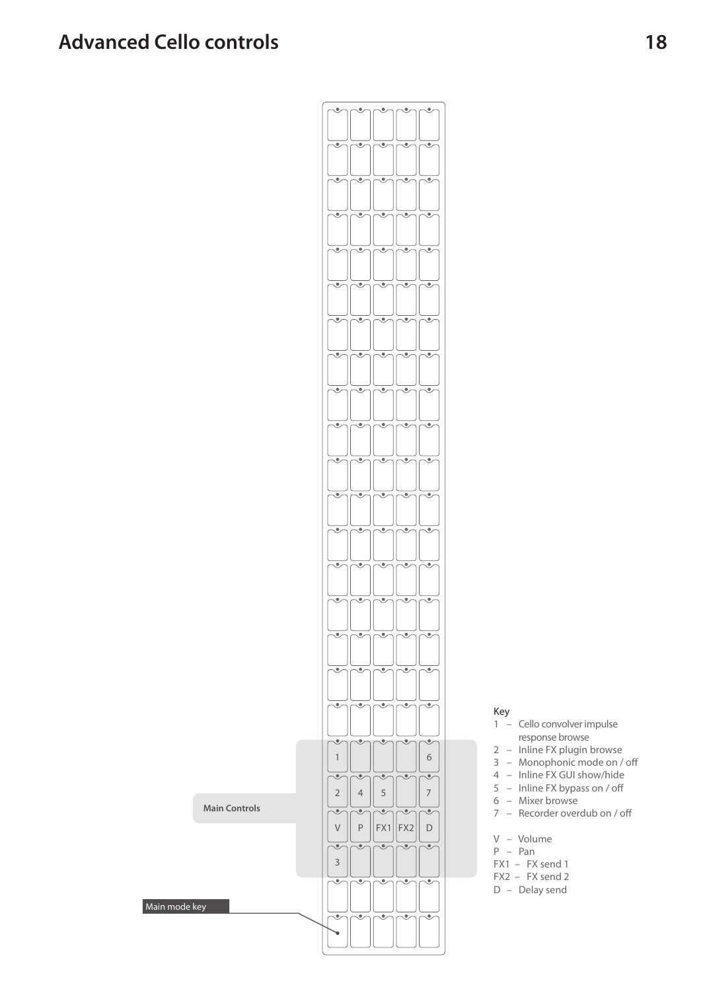### **Advanced Cello controls**



- 1 Cello convolver impulse response browse
- 2 Inline FX plugin browse
- $3$  Monophonic mode on / off
- 4 Inline FX GUI show/hide
- $5$  Inline FX bypass on / off
- 6 Mixer browse
- $7 -$  Recorder overdub on / off
- V Volume
- P Pan
- FX1 FX send 1
- FX2 FX send 2
- D Delay send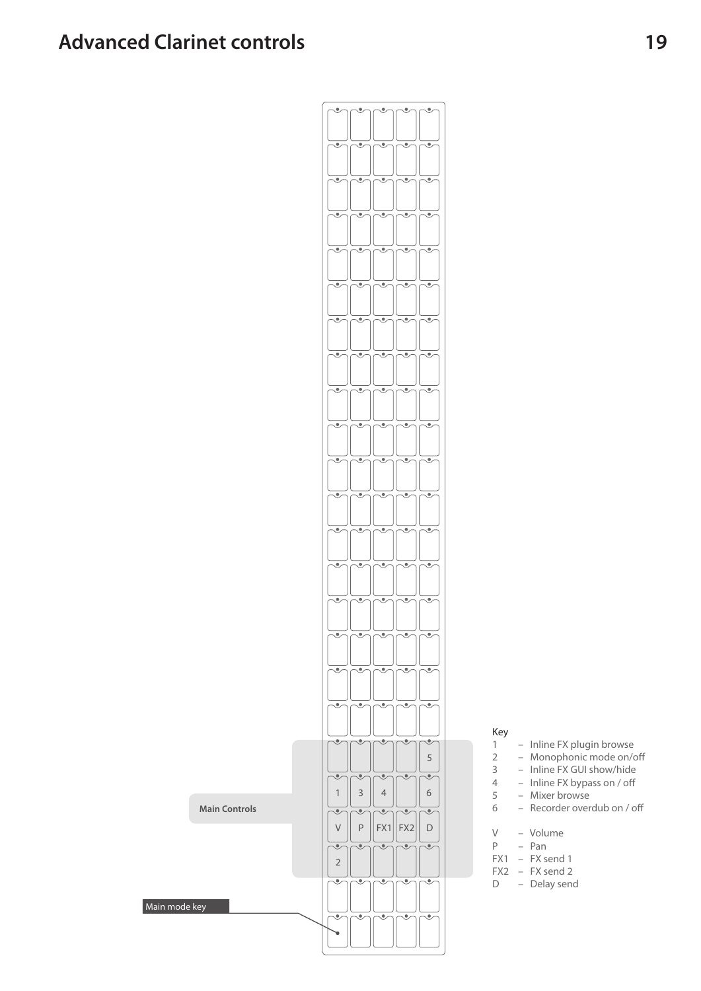Main mode key



- 1 Inline FX plugin browse<br>2 Monophonic mode on/
	- Monophonic mode on/off
- 3 Inline FX GUI show/hide
- $4 Inline FX bypass on / off$ <br>  $5 Mizer browse$ 
	- Mixer browse
- $6 -$  Recorder overdub on / off
	-
- V Volume<br>P Pan P – Pan
- $FX1 FX send 1$
- $\begin{bmatrix} FX2 & & FX send 2 \\ D & & Delay sen \end{bmatrix}$ 
	- Delay send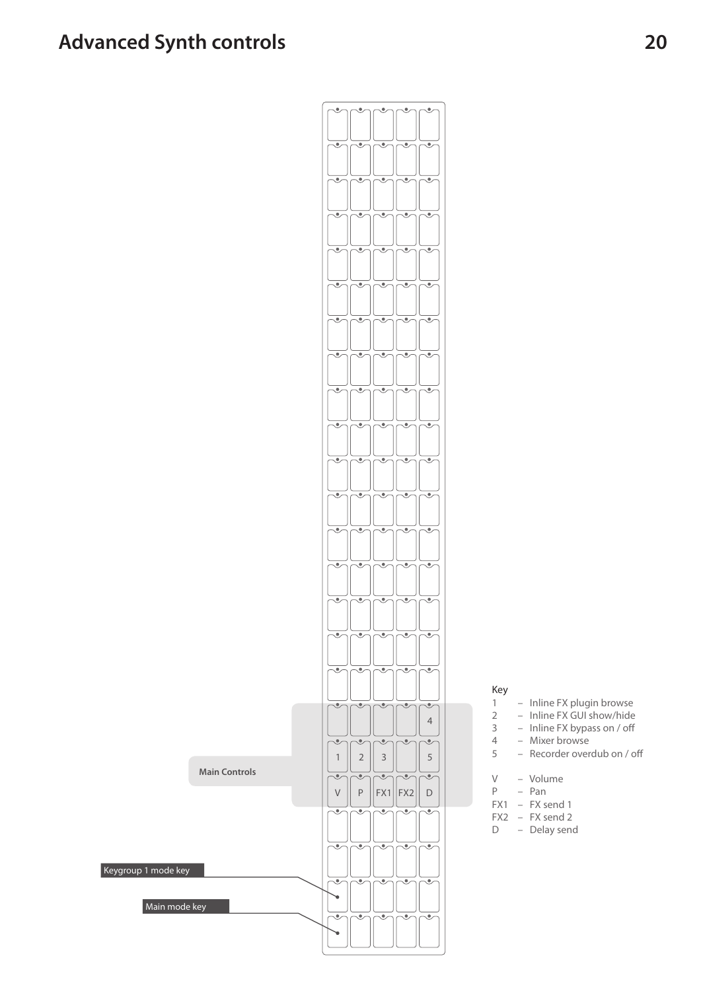# **Advanced Synth controls**

Main mode key

Keygroup 1 mode key



- 1 Inline FX plugin browse
- 2 Inline FX GUI show/hide<br>3 Inline FX bypass on / off
- 3 Inline FX bypass on / off<br>4 Mixer browse
- $4 -$  Mixer browse<br> $5 -$  Recorder over
	- Recorder overdub on / off
- V Volume<br>P Pan
	- P Pan
- FX1 FX send 1
- $FX2 FX send 2$ <br>D Delay send
	- Delay send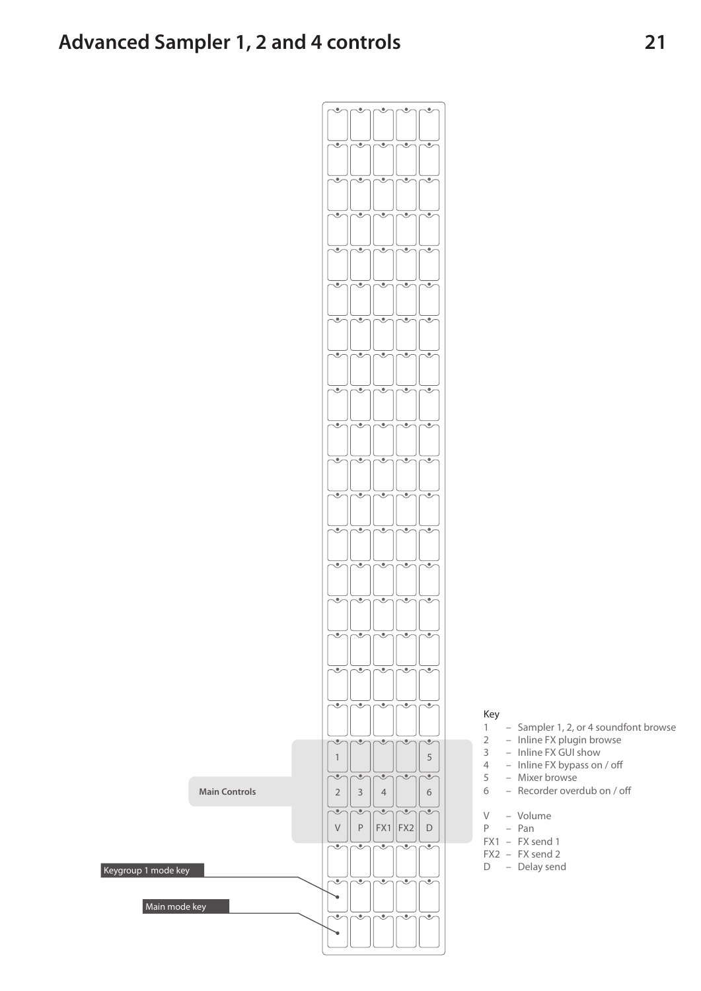**Main Controls**

Main mode key

Keygroup 1 mode key



- 1 Sampler 1, 2, or 4 soundfont browse
- 2 Inline FX plugin browse
- 3 Inline FX GUI show
- 4 Inline FX bypass on / off
- 5 Mixer browse
- Recorder overdub on / off
- V Volume
- P Pan
- FX1 FX send 1
- FX2 FX send 2
- D Delay send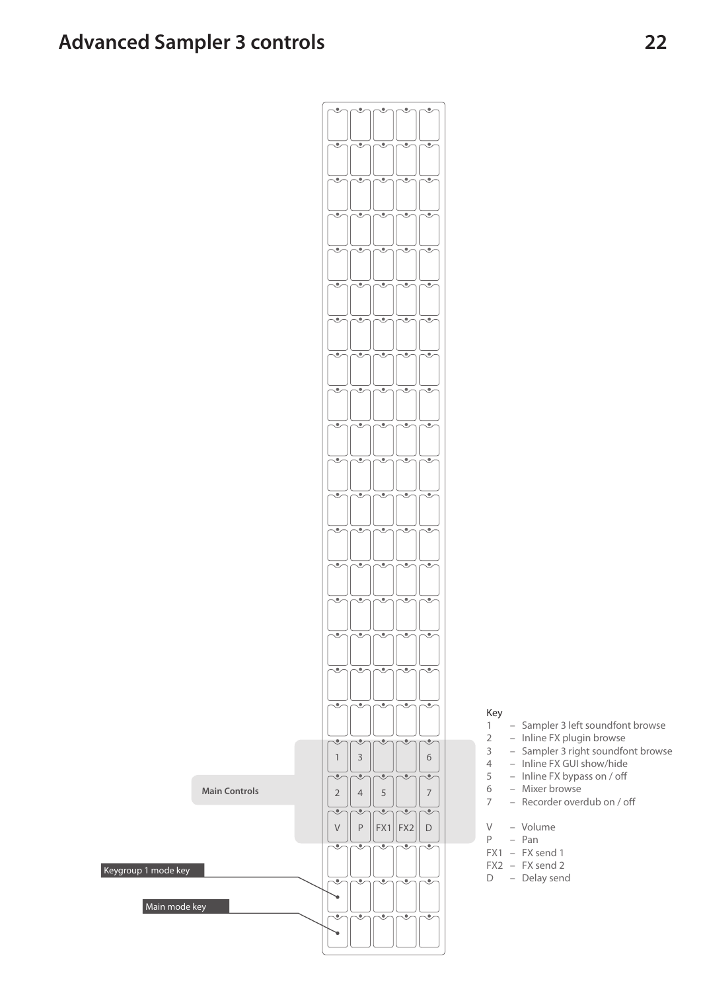### **Advanced Sampler 3 controls**

Keygroup 1 mode key



- 1 Sampler 3 left soundfont browse
- 2 Inline FX plugin browse
- 3 Sampler 3 right soundfont browse
- 4 Inline FX GUI show/hide
- $5 -$  Inline FX bypass on / off
- 6 Mixer browse
- 7 Recorder overdub on / off
- V Volume<br>P Pan
- Pan
- FX1 FX send 1
- FX2 FX send 2
- D Delay send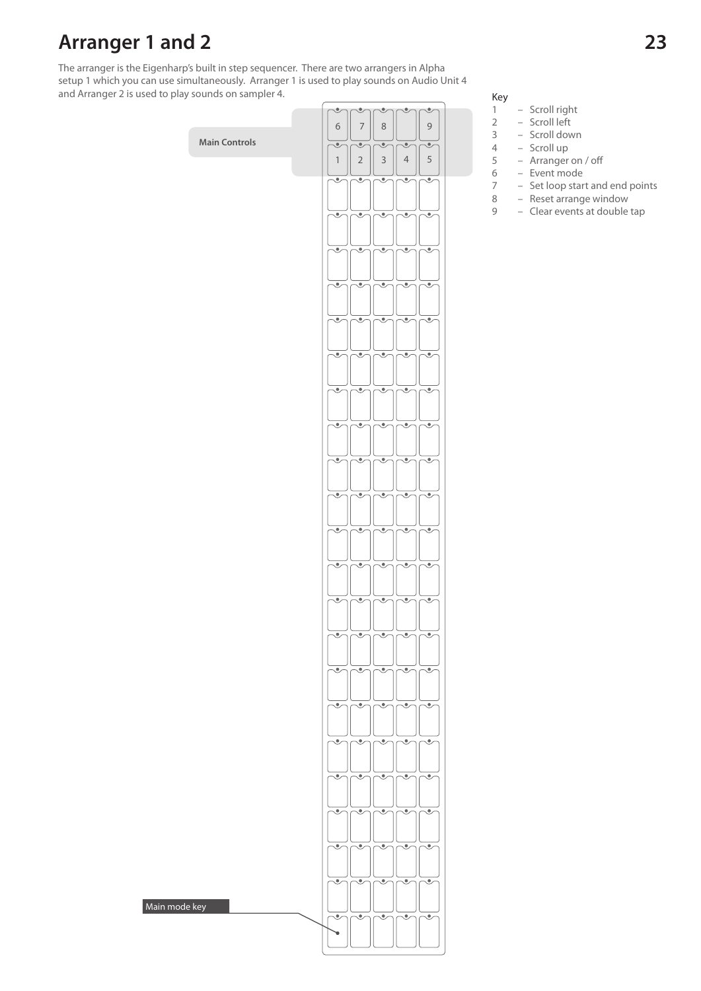### **Arranger 1 and 2**

Main mode key

The arranger is the Eigenharp's built in step sequencer. There are two arrangers in Alpha setup 1 which you can use simultaneously. Arranger 1 is used to play sounds on Audio Unit 4 and Arranger 2 is used to play sounds on sampler 4.

### $\ddot{\phantom{0}}$  $\ddot{\phantom{0}}$  $\bullet$  $6 || 7 || 8$ 9**Main Controls**  $\bullet$  $\overline{\bullet}$  $1 \mid 2 \mid 3$  $4 \mid 5$  $\overline{\bullet}$ ٠ Ö, ම Ó  $\bullet$ Ö, , Ó  $\overline{\bullet}$ O હ ۹  $\overline{\bullet}$ ≂ <u>.</u> ₹ Ó  $\mathcal{C}$  $\overline{\bullet}$ ತ  $\overline{\bullet}$ Ö, ම ò, Ó, Ò. Ó. ≂ Ö, Ö, Ö, Ö,  $\overline{\bullet}$

### Key<br>1

 $\overline{\bullet}$ 

 $\overline{\bullet}$ 

- Scroll right
- 
- 2 Scroll left<br>3 Scroll dov - Scroll down
	-
- 4 Scroll up  $5 -$  Arranger on / off<br>6 - Event mode
- 6 Event mode
- 7 Set loop start and end points<br>8 Reset arrange window
	- Reset arrange window
- 9 Clear events at double tap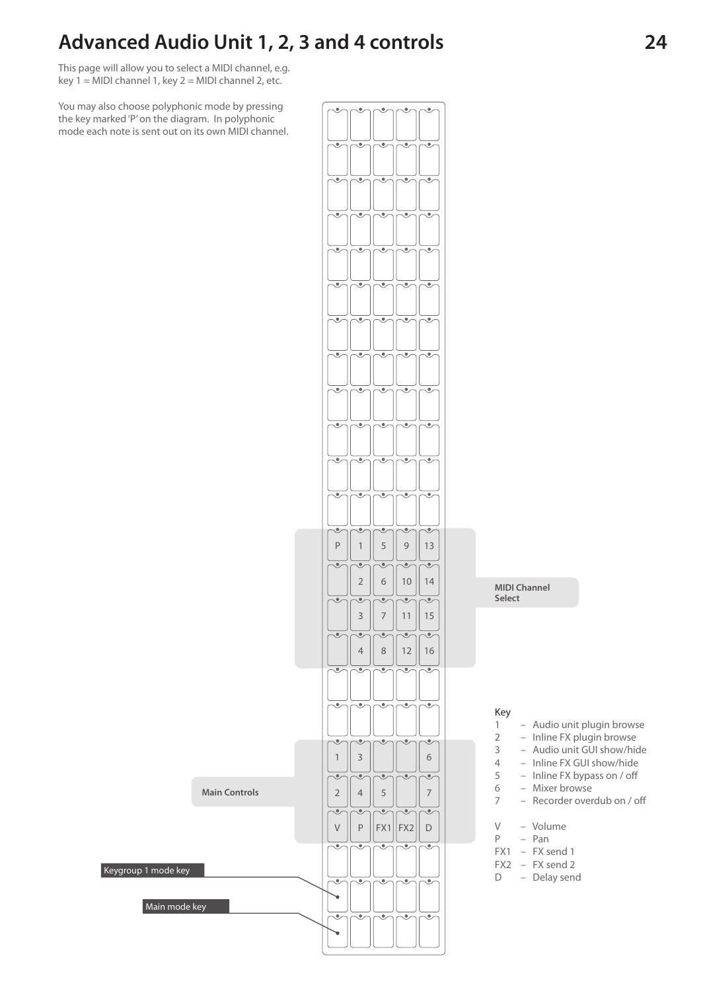### **Advanced Audio Unit 1, 2, 3 and 4 controls**

This page will allow you to select a MIDI channel, e.g. key  $1 = MIDI$  channel 1, key  $2 = MIDI$  channel 2, etc.

You may also choose polyphonic mode by pressing the key marked 'P' on the diagram. In polyphonic mode each note is sent out on its own MIDI channel.



**MIDI Channel** 

- 1 Audio unit plugin browse
- 2 Inline FX plugin browse
- 3 Audio unit GUI show/hide
- 4 Inline FX GUI show/hide
- $5 -$  Inline FX bypass on / off
- 6 Mixer browse
- 7 Recorder overdub on / off
- V Volume
- P Pan
- FX1 FX send 1
- FX2 FX send 2
- D Delay send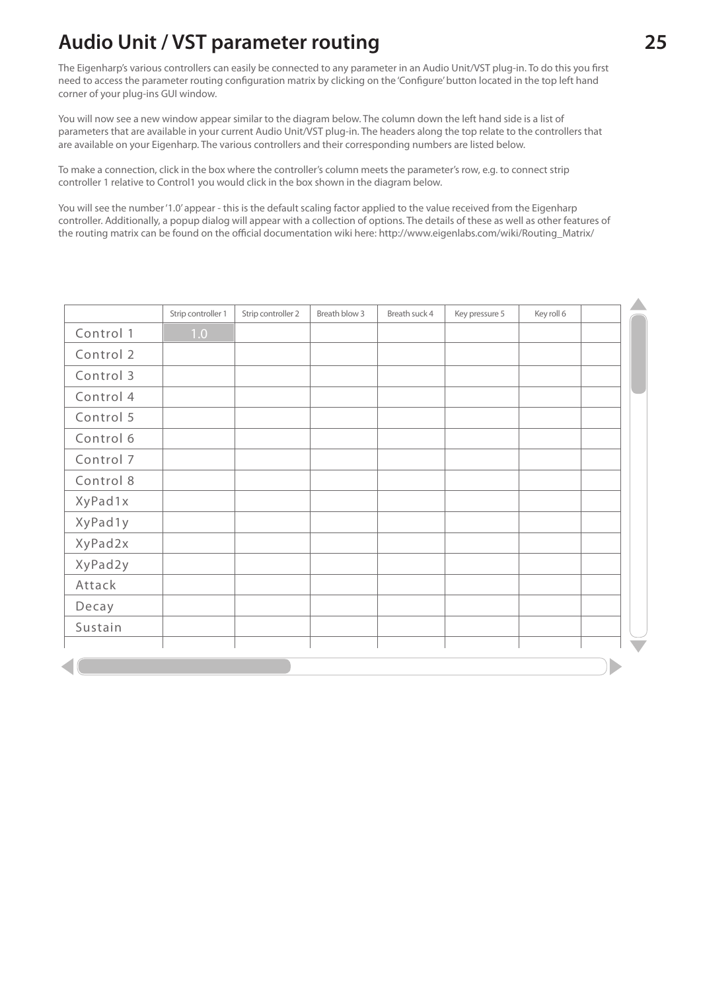# **Audio Unit / VST parameter routing 25**

The Eigenharp's various controllers can easily be connected to any parameter in an Audio Unit/VST plug-in. To do this you first need to access the parameter routing configuration matrix by clicking on the 'Configure' button located in the top left hand corner of your plug-ins GUI window.

You will now see a new window appear similar to the diagram below. The column down the left hand side is a list of parameters that are available in your current Audio Unit/VST plug-in. The headers along the top relate to the controllers that are available on your Eigenharp. The various controllers and their corresponding numbers are listed below.

To make a connection, click in the box where the controller's column meets the parameter's row, e.g. to connect strip controller 1 relative to Control1 you would click in the box shown in the diagram below.

You will see the number '1.0' appear - this is the default scaling factor applied to the value received from the Eigenharp controller. Additionally, a popup dialog will appear with a collection of options. The details of these as well as other features of the routing matrix can be found on the official documentation wiki here: http://www.eigenlabs.com/wiki/Routing\_Matrix/

|           | Strip controller 1 | Strip controller 2 | Breath blow 3 | Breath suck 4 | Key pressure 5 | Key roll 6 |  |
|-----------|--------------------|--------------------|---------------|---------------|----------------|------------|--|
| Control 1 | 1.0                |                    |               |               |                |            |  |
| Control 2 |                    |                    |               |               |                |            |  |
| Control 3 |                    |                    |               |               |                |            |  |
| Control 4 |                    |                    |               |               |                |            |  |
| Control 5 |                    |                    |               |               |                |            |  |
| Control 6 |                    |                    |               |               |                |            |  |
| Control 7 |                    |                    |               |               |                |            |  |
| Control 8 |                    |                    |               |               |                |            |  |
| XyPad1x   |                    |                    |               |               |                |            |  |
| XyPad1y   |                    |                    |               |               |                |            |  |
| XyPad2x   |                    |                    |               |               |                |            |  |
| XyPad2y   |                    |                    |               |               |                |            |  |
| Attack    |                    |                    |               |               |                |            |  |
| Decay     |                    |                    |               |               |                |            |  |
| Sustain   |                    |                    |               |               |                |            |  |
|           |                    |                    |               |               |                |            |  |
|           |                    |                    |               |               |                |            |  |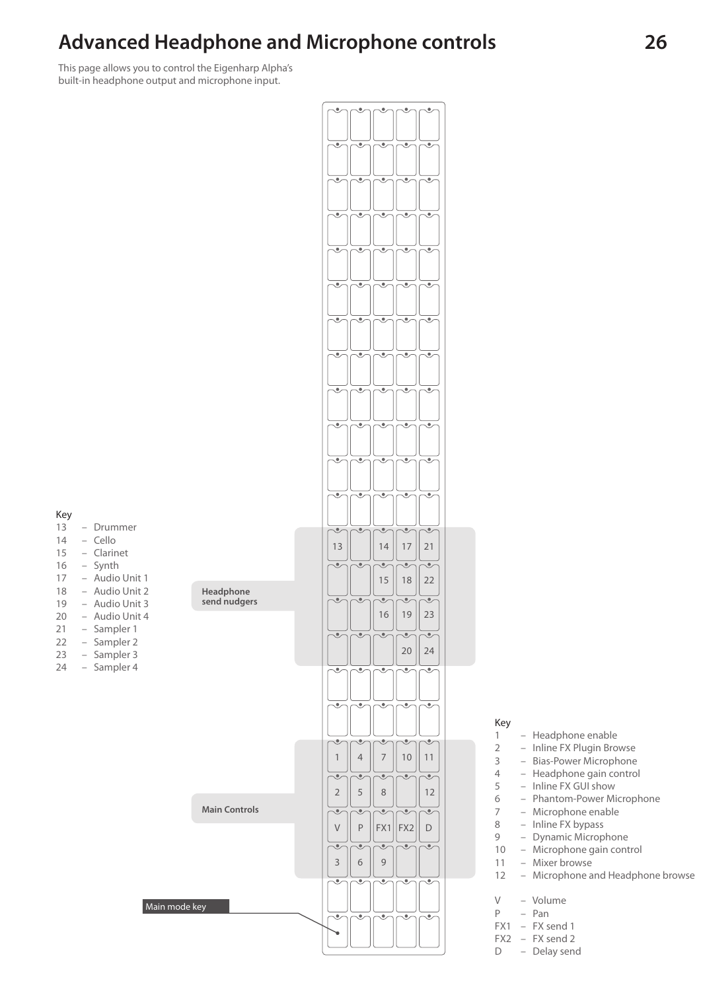### **Advanced Headphone and Microphone controls**

This page allows you to control the Eigenharp Alpha's built-in headphone output and microphone input.



- Headphone enable
- 2 Inline FX Plugin Browse<br>3 Bias-Power Microphone
	- Bias-Power Microphone
- Headphone gain control
- Inline FX GUI show
- Phantom-Power Microphone
- Microphone enable
- Inline FX bypass
- Dynamic Microphone – Microphone gain control
- Mixer browse
- Microphone and Headphone browse
- V Volume<br>P Pan
	- P Pan
- FX1 FX send 1
- FX2 FX send 2
- D Delay send
- Drummer  $14 -$  Cello
- 
- Clarinet
- Synth
- Audio Unit 1
- Audio Unit 2
- Audio Unit 3
- Audio Unit 4
- Sampler 1
- Sampler 2
- Sampler 3 – Sampler 4
-